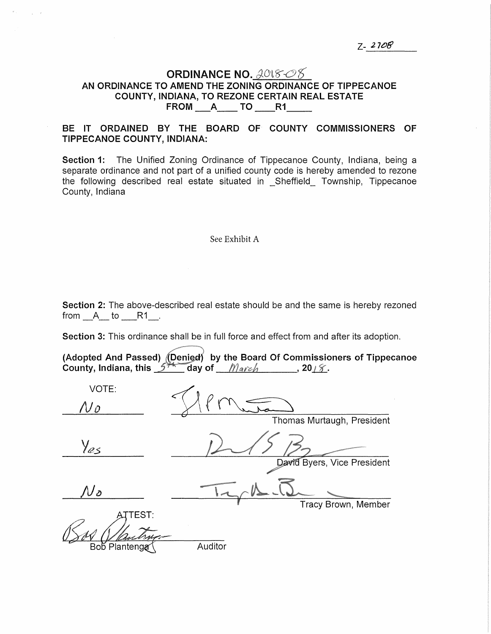## ORDINANCE NO.  $2018 - 05$ AN ORDINANCE TO AMEND THE ZONING ORDINANCE OF TIPPECANOE COUNTY, INDIANA, TO REZONE CERTAIN REAL ESTATE<br>FROM \_\_\_A\_\_\_\_ TO \_\_\_\_\_R1\_\_\_\_\_\_

## BE IT ORDAINED BY THE BOARD OF COUNTY COMMISSIONERS OF TIPPECANOE COUNTY, INDIANA:

Section 1: The Unified Zoning Ordinance of Tippecanoe County, Indiana, being a separate ordinance and not part of a unified county code is hereby amended to rezone the following described real estate situated in \_Sheffield\_ Township, Tippecanoe County, Indiana

## See Exhibit A

Section 2: The above-described real estate should be and the same is hereby rezoned from  $A$  to  $R1$ .

Section 3: This ordinance shall be in full force and effect from and after its adoption.

(Adopted And Passed) *(D*enied) by the Board Of Commissioners of Tippecanoe (Adopted And Passed) *(U*eniea) by the Board Of Commissio<br>County, Indiana, this کشمیر day of *\_\_\_\_\_\_\_\_\_\_\_\_\_\_\_\_*, 20

| VOTE:         |                             |
|---------------|-----------------------------|
| $\Lambda$ o   |                             |
|               | Thomas Murtaugh, President  |
| Yes           |                             |
|               | David Byers, Vice President |
| ${\cal N}$ o  |                             |
|               | Tracy Brown, Member         |
| TEST:         |                             |
| Bob Plantenga | Auditor                     |